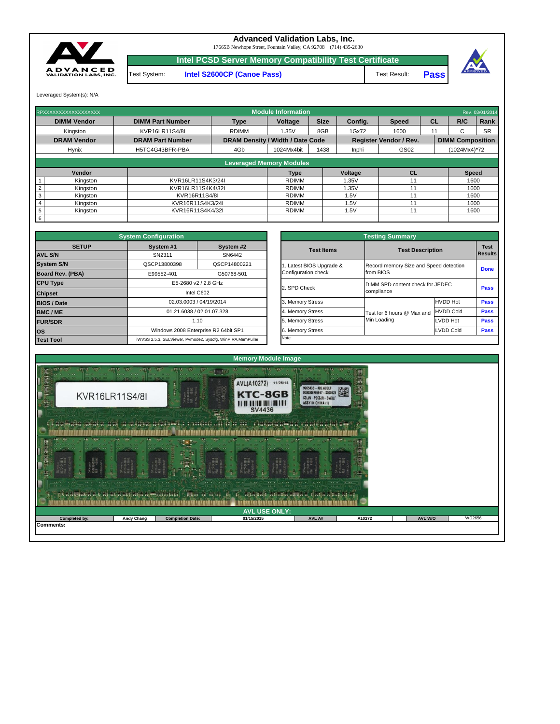| $\frac{1}{2} \int_{0}^{2\pi} \frac{1}{2} \, \frac{1}{2} \, \frac{1}{2} \, \frac{1}{2} \, \frac{1}{2} \, \frac{1}{2} \, \frac{1}{2} \, \frac{1}{2} \, \frac{1}{2} \, \frac{1}{2} \, \frac{1}{2} \, \frac{1}{2} \, \frac{1}{2} \, \frac{1}{2} \, \frac{1}{2} \, \frac{1}{2} \, \frac{1}{2} \, \frac{1}{2} \, \frac{1}{2} \, \frac{1}{2} \, \frac{1}{2} \, \frac{1}{2} \, \frac{1}{$<br>the said Giffice Call and<br>$\frac{1}{2} + \frac{1}{2} \frac{1}{2} \frac{1}{2} \frac{1}{2} \frac{1}{2} \frac{1}{2} \frac{1}{2} \frac{1}{2} \frac{1}{2} \frac{1}{2} \frac{1}{2} \frac{1}{2} \frac{1}{2} \frac{1}{2} \frac{1}{2} \frac{1}{2} \frac{1}{2} \frac{1}{2} \frac{1}{2} \frac{1}{2} \frac{1}{2} \frac{1}{2} \frac{1}{2} \frac{1}{2} \frac{1}{2} \frac{1}{2} \frac{1}{2} \frac{1}{2} \frac{1}{2} \frac{1}{2} \frac$<br><b>Change of District Control</b><br>$\frac{1}{2}$<br>in the state of the state of the state of the state of the state of the state of the state of the state of the<br>$-0.65$<br>$-11.7.74$<br>$-1$<br>33 M<br>$\sim$ $\sim$ $\sim$ $\sim$ $\sim$ $\sim$ $\sim$ $\sim$<br><b>The Second Contract Contract</b><br>$\sqrt{2}$<br>$\cdots$<br>$\cdots$<br>$\frac{1}{2}$<br>$-1$<br>et a abuata a t'ai at a ait-aig agedinini ()<br><b>The new American Report of School Report</b><br><b>ALLES RE EESER</b> |                   |                         |            |        |        |                |        |  |  |  |  |  |
|-------------------------------------------------------------------------------------------------------------------------------------------------------------------------------------------------------------------------------------------------------------------------------------------------------------------------------------------------------------------------------------------------------------------------------------------------------------------------------------------------------------------------------------------------------------------------------------------------------------------------------------------------------------------------------------------------------------------------------------------------------------------------------------------------------------------------------------------------------------------------------------------------------------------------------------------------------------------------------------------------------------------------------------------------------------------------------------------------------------------------------------------------------------------------------------------------------------------------------------------------------------------------------------------------------------------------------|-------------------|-------------------------|------------|--------|--------|----------------|--------|--|--|--|--|--|
| <b>AVL USE ONLY:</b>                                                                                                                                                                                                                                                                                                                                                                                                                                                                                                                                                                                                                                                                                                                                                                                                                                                                                                                                                                                                                                                                                                                                                                                                                                                                                                          |                   |                         |            |        |        |                |        |  |  |  |  |  |
| <b>Completed by:</b>                                                                                                                                                                                                                                                                                                                                                                                                                                                                                                                                                                                                                                                                                                                                                                                                                                                                                                                                                                                                                                                                                                                                                                                                                                                                                                          | <b>Andy Chang</b> | <b>Completion Date:</b> | 01/15/2015 | AVL A# | A10272 | <b>AVL W/O</b> | WD2656 |  |  |  |  |  |
| <b>Comments:</b>                                                                                                                                                                                                                                                                                                                                                                                                                                                                                                                                                                                                                                                                                                                                                                                                                                                                                                                                                                                                                                                                                                                                                                                                                                                                                                              |                   |                         |            |        |        |                |        |  |  |  |  |  |



|              | <b>System Configuration</b>          |                                                             |                         | <b>Testing Summary</b>                 |                         |             |  |  |
|--------------|--------------------------------------|-------------------------------------------------------------|-------------------------|----------------------------------------|-------------------------|-------------|--|--|
| <b>SETUP</b> | System #1                            | System #2                                                   | <b>Test Items</b>       |                                        | <b>Test Description</b> |             |  |  |
|              | SN2311                               | SN6442                                                      |                         |                                        |                         |             |  |  |
|              | QSCP13800398                         | QSCP14800221                                                | . Latest BIOS Upgrade & | Record memory Size and Speed detection |                         | <b>Done</b> |  |  |
| <b>BA)</b>   | E99552-401                           | G50768-501                                                  | Configuration check     | from BIOS                              |                         |             |  |  |
|              |                                      | E5-2680 v2 / 2.8 GHz                                        |                         | DIMM SPD content check for JEDEC       | <b>Pass</b>             |             |  |  |
|              |                                      | Intel C602                                                  | 2. SPD Check            | compliance                             |                         |             |  |  |
|              |                                      | 02.03.0003 / 04/19/2014                                     | 3. Memory Stress        |                                        | <b>Pass</b>             |             |  |  |
|              |                                      | 01.21.6038 / 02.01.07.328                                   | 4. Memory Stress        | Test for 6 hours @ Max and             | <b>HVDD Cold</b>        |             |  |  |
|              |                                      | 1.10                                                        | 5. Memory Stress        | Min Loading                            | <b>LVDD Hot</b>         | <b>Pass</b> |  |  |
|              | Windows 2008 Enterprise R2 64bit SP1 |                                                             | 6. Memory Stress        |                                        | <b>LVDD Cold</b>        |             |  |  |
|              |                                      | iWVSS 2.5.3. SELViewer, Pymode2, Syscfa, WinPIRA, MemPuller | Note:                   |                                        |                         |             |  |  |

|                 | RPXXXXXXXXXXXXXXXXXX |                         |                                         | <b>Module Information</b> |             |                |                               |           |                         | Rev. 03/01/2014 |  |
|-----------------|----------------------|-------------------------|-----------------------------------------|---------------------------|-------------|----------------|-------------------------------|-----------|-------------------------|-----------------|--|
|                 | <b>DIMM Vendor</b>   | <b>DIMM Part Number</b> | <b>Type</b>                             | <b>Voltage</b>            | <b>Size</b> | Config.        | <b>Speed</b>                  | <b>CL</b> | R/C                     | Rank            |  |
|                 | Kingston             | KVR16LR11S4/8I          | <b>RDIMM</b>                            | 1.35V                     | 8GB         | 1Gx72          | 1600                          |           | ⌒                       | <b>SR</b>       |  |
|                 | <b>DRAM Vendor</b>   | <b>DRAM Part Number</b> | <b>DRAM Density / Width / Date Code</b> |                           |             |                | <b>Register Vendor / Rev.</b> |           | <b>DIMM Composition</b> |                 |  |
|                 | <b>Hynix</b>         | H5TC4G43BFR-PBA         | 4Gb                                     | 1024Mx4bit                | 1438        | <b>Inphi</b>   | GS02                          |           | (1024Mx4)*72            |                 |  |
|                 |                      |                         |                                         |                           |             |                |                               |           |                         |                 |  |
|                 |                      |                         | <b>Leveraged Memory Modules</b>         |                           |             |                |                               |           |                         |                 |  |
|                 | Vendor               |                         |                                         | Type                      |             | <b>Voltage</b> | <b>CL</b>                     |           | <b>Speed</b>            |                 |  |
|                 | Kingston             | KVR16LR11S4K3/24I       |                                         | <b>RDIMM</b>              |             | .35V           | 11                            |           | 1600                    |                 |  |
|                 | Kingston             | KVR16LR11S4K4/32I       |                                         | <b>RDIMM</b>              |             | 1.35V          | 11                            | 1600      |                         |                 |  |
| 3               | Kingston             | KVR16R11S4/8I           |                                         | <b>RDIMM</b>              |             | .5V            | 11                            | 1600      |                         |                 |  |
|                 | Kingston             | KVR16R11S4K3/24I        |                                         | <b>RDIMM</b>              |             | .5V            | 11                            |           | 1600                    |                 |  |
| $5\phantom{.0}$ | Kingston             | KVR16R11S4K4/32I        |                                         | <b>RDIMM</b><br>.5V       |             |                | 11                            |           | 1600                    |                 |  |
| $6\overline{6}$ |                      |                         |                                         |                           |             |                |                               |           |                         |                 |  |

|                         | <b>System Configuration</b> |                                                             | <b>Testing Summary</b> |                                        |                  |                |  |  |  |
|-------------------------|-----------------------------|-------------------------------------------------------------|------------------------|----------------------------------------|------------------|----------------|--|--|--|
| <b>SETUP</b>            | System #1                   | System #2                                                   | <b>Test Items</b>      | <b>Test Description</b>                |                  |                |  |  |  |
| <b>AVL S/N</b>          | SN2311                      | SN6442                                                      |                        |                                        |                  | <b>Results</b> |  |  |  |
| <b>System S/N</b>       | QSCP13800398                | QSCP14800221                                                | Latest BIOS Upgrade &  | Record memory Size and Speed detection |                  | <b>Done</b>    |  |  |  |
| <b>Board Rev. (PBA)</b> | E99552-401                  | G50768-501                                                  | Configuration check    | from BIOS                              |                  |                |  |  |  |
| <b>CPU Type</b>         |                             | E5-2680 v2 / 2.8 GHz                                        | 2. SPD Check           | DIMM SPD content check for JEDEC       |                  |                |  |  |  |
| <b>Chipset</b>          |                             | Intel C602                                                  |                        | compliance                             | <b>Pass</b>      |                |  |  |  |
| <b>BIOS / Date</b>      |                             | 02.03.0003 / 04/19/2014                                     | 3. Memory Stress       |                                        | <b>HVDD Hot</b>  | <b>Pass</b>    |  |  |  |
| <b>BMC/ME</b>           |                             | 01.21.6038 / 02.01.07.328                                   | 4. Memory Stress       | Test for 6 hours @ Max and             | <b>HVDD Cold</b> | <b>Pass</b>    |  |  |  |
| <b>FUR/SDR</b>          |                             | 1.10                                                        | 5. Memory Stress       | Min Loading                            | <b>LVDD Hot</b>  | <b>Pass</b>    |  |  |  |
| <b>los</b>              |                             | Windows 2008 Enterprise R2 64bit SP1                        | 6. Memory Stress       |                                        | <b>LVDD Cold</b> | <b>Pass</b>    |  |  |  |
| <b>Test Tool</b>        |                             | iWVSS 2.5.3, SELViewer, Pvmode2, Syscfg, WinPIRA, MemPuller | Note:                  |                                        |                  |                |  |  |  |

Test System: **Intel S2600CP (Canoe Pass)**



## **Advanced Validation Labs, Inc.**

17665B Newhope Street, Fountain Valley, CA 92708 (714) 435-2630

Leveraged System(s): N/A

**Pass** Test Result:



**Intel PCSD Server Memory Compatibility Test Certificate**